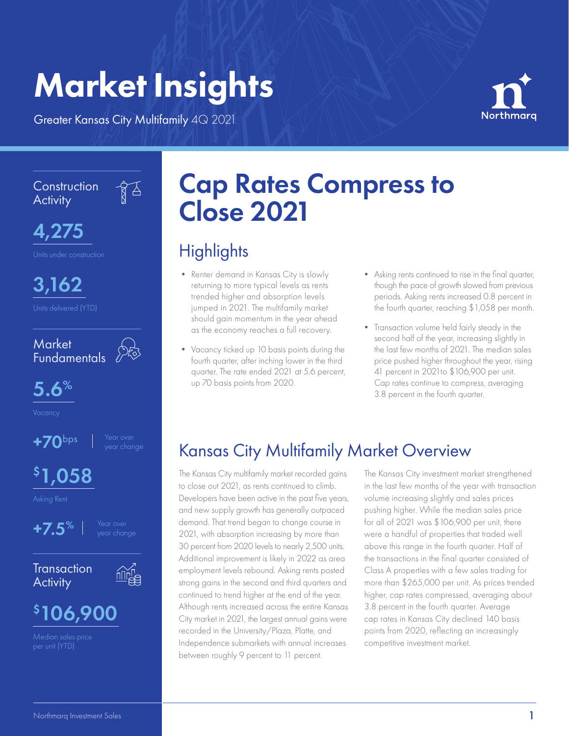# Market Insights

Greater Kansas City Multifamily 4Q 2021

 $\sqrt{3}$ 



**Construction Activity** 



3,162



5.6%



## \$ 1,058

Asking Rent



**Transaction Activity** 





# Cap Rates Compress to Close 2021

### **Highlights**

- Renter demand in Kansas City is slowly returning to more typical levels as rents trended higher and absorption levels jumped in 2021. The multifamily market should gain momentum in the year ahead as the economy reaches a full recovery.
- Vacancy ticked up 10 basis points during the fourth quarter, after inching lower in the third quarter. The rate ended 2021 at 5.6 percent, up 70 basis points from 2020.
- Asking rents continued to rise in the final quarter, though the pace of growth slowed from previous periods. Asking rents increased 0.8 percent in the fourth quarter, reaching \$1,058 per month.
- Transaction volume held fairly steady in the second half of the year, increasing slightly in the last few months of 2021. The median sales price pushed higher throughout the year, rising 41 percent in 2021to \$106,900 per unit. Cap rates continue to compress, averaging 3.8 percent in the fourth quarter.

### Kansas City Multifamily Market Overview

The Kansas City multifamily market recorded gains to close out 2021, as rents continued to climb. Developers have been active in the past five years, and new supply growth has generally outpaced demand. That trend began to change course in 2021, with absorption increasing by more than 30 percent from 2020 levels to nearly 2,500 units. Additional improvement is likely in 2022 as area employment levels rebound. Asking rents posted strong gains in the second and third quarters and continued to trend higher at the end of the year. Although rents increased across the entire Kansas City market in 2021, the largest annual gains were recorded in the University/Plaza, Platte, and Median sales price<br>Der unit (YTD) **Example 1996 Independence submarkets** with annual increases competitive investment market. between roughly 9 percent to 11 percent.

The Kansas City investment market strengthened in the last few months of the year with transaction volume increasing slightly and sales prices pushing higher. While the median sales price for all of 2021 was \$106,900 per unit, there were a handful of properties that traded well above this range in the fourth quarter. Half of the transactions in the final quarter consisted of Class A properties with a few sales trading for more than \$265,000 per unit. As prices trended higher, cap rates compressed, averaging about 3.8 percent in the fourth quarter. Average cap rates in Kansas City declined 140 basis points from 2020, reflecting an increasingly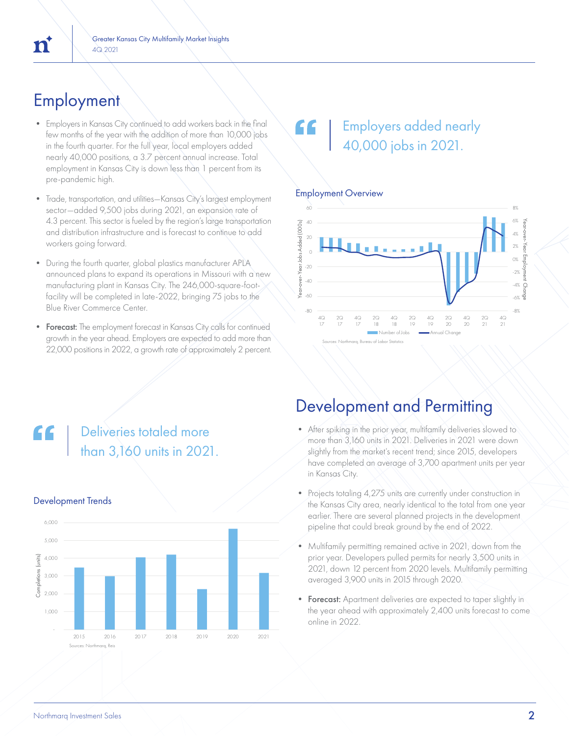### **Employment**

- Employers in Kansas City continued to add workers back in the final few months of the year with the addition of more than 10,000 jobs in the fourth quarter. For the full year, local employers added nearly 40,000 positions, a 3.7 percent annual increase. Total employment in Kansas City is down less than 1 percent from its pre-pandemic high.
- Trade, transportation, and utilities—Kansas City's largest employment sector—added 9,500 jobs during 2021, an expansion rate of 4.3 percent. This sector is fueled by the region's large transportation and distribution infrastructure and is forecast to continue to add workers going forward.
- During the fourth quarter, global plastics manufacturer APLA announced plans to expand its operations in Missouri with a new manufacturing plant in Kansas City. The 246,000-square-footfacility will be completed in late-2022, bringing 75 jobs to the Blue River Commerce Center.
- Forecast: The employment forecast in Kansas City calls for continued growth in the year ahead. Employers are expected to add more than 22,000 positions in 2022, a growth rate of approximately 2 percent.

### Employers added nearly 40,000 jobs in 2021.

#### Employment Overview



### Deliveries totaled more than 3,160 units in 2021.



#### Development Trends

### Development and Permitting

- After spiking in the prior year, multifamily deliveries slowed to more than 3,160 units in 2021. Deliveries in 2021 were down slightly from the market's recent trend; since 2015, developers have completed an average of 3,700 apartment units per year in Kansas City.
- Projects totaling 4,275 units are currently under construction in the Kansas City area, nearly identical to the total from one year earlier. There are several planned projects in the development pipeline that could break ground by the end of 2022.
- Multifamily permitting remained active in 2021, down from the prior year. Developers pulled permits for nearly 3,500 units in 2021, down 12 percent from 2020 levels. Multifamily permitting averaged 3,900 units in 2015 through 2020.
- Forecast: Apartment deliveries are expected to taper slightly in the year ahead with approximately 2,400 units forecast to come online in 2022.

## n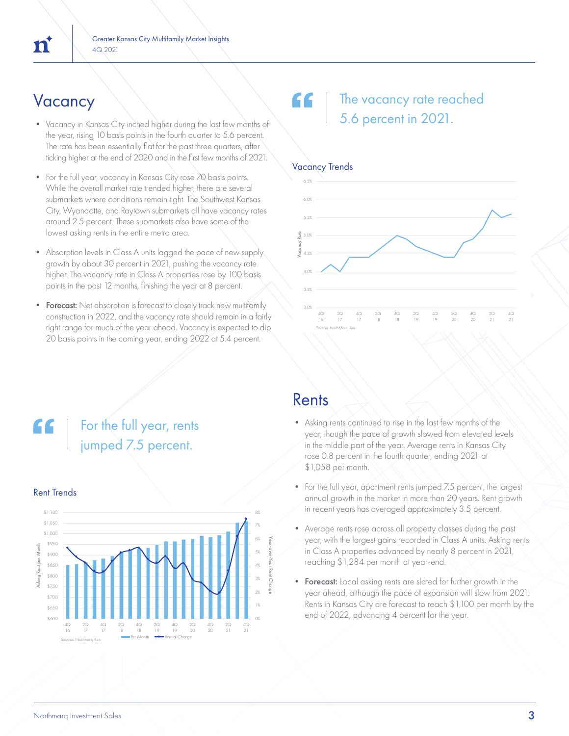- Vacancy in Kansas City inched higher during the last few months of the year, rising 10 basis points in the fourth quarter to 5.6 percent. The rate has been essentially flat for the past three quarters, after ticking higher at the end of 2020 and in the first few months of 2021.
- For the full year, vacancy in Kansas City rose 70 basis points. While the overall market rate trended higher, there are several submarkets where conditions remain tight. The Southwest Kansas City, Wyandotte, and Raytown submarkets all have vacancy rates around 2.5 percent. These submarkets also have some of the lowest asking rents in the entire metro area.
- Absorption levels in Class A units lagged the pace of new supply growth by about 30 percent in 2021, pushing the vacancy rate higher. The vacancy rate in Class A properties rose by 100 basis points in the past 12 months, finishing the year at 8 percent.
- Forecast: Net absorption is forecast to closely track new multifamily construction in 2022, and the vacancy rate should remain in a fairly right range for much of the year ahead. Vacancy is expected to dip 20 basis points in the coming year, ending 2022 at 5.4 percent.

For the full year, rents

jumped 7.5 percent.

#### $V$ acancy  $\setminus$   $\setminus$   $\setminus$   $\setminus$   $\setminus$   $\setminus$   $\setminus$  The vacancy rate reached 5.6 percent in 2021.



## Rent Trends



#### Rents

- Asking rents continued to rise in the last few months of the year, though the pace of growth slowed from elevated levels in the middle part of the year. Average rents in Kansas City rose 0.8 percent in the fourth quarter, ending 2021 at \$1,058 per month.
- For the full year, apartment rents jumped 7.5 percent, the largest annual growth in the market in more than 20 years. Rent growth in recent years has averaged approximately 3.5 percent.
- Average rents rose across all property classes during the past year, with the largest gains recorded in Class A units. Asking rents in Class A properties advanced by nearly 8 percent in 2021, reaching \$1,284 per month at year-end.
- Forecast: Local asking rents are slated for further growth in the year ahead, although the pace of expansion will slow from 2021. Rents in Kansas City are forecast to reach \$1,100 per month by the end of  $2022$ , advancing  $4$  percent for the year.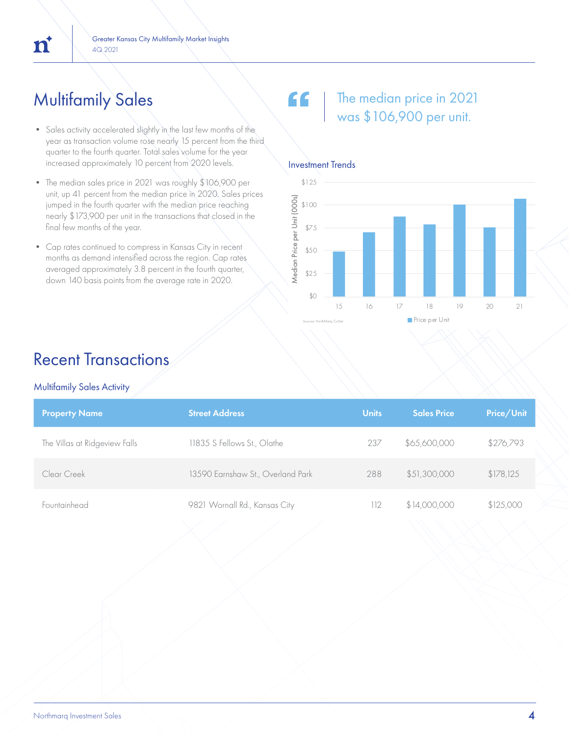### Multifamily Sales

- Sales activity accelerated slightly in the last few months of the year as transaction volume rose nearly 15 percent from the third quarter to the fourth quarter. Total sales volume for the year increased approximately 10 percent from 2020 levels.
- The median sales price in 2021 was roughly \$106,900 per unit, up 41 percent from the median price in 2020. Sales prices jumped in the fourth quarter with the median price reaching nearly \$173,900 per unit in the transactions that closed in the final few months of the year.
- Cap rates continued to compress in Kansas City in recent months as demand intensified across the region. Cap rates averaged approximately 3.8 percent in the fourth quarter, down 140 basis points from the average rate in 2020.

#### " The median price in 2021 was \$106,900 per unit.



#### Recent Transactions

#### Multifamily Sales Activity

| <b>Property Name</b>          | <b>Street Address</b>             | <b>Units</b> | <b>Sales Price</b> | Price/Unit |
|-------------------------------|-----------------------------------|--------------|--------------------|------------|
| The Villas at Ridgeview Falls | 11835 S Fellows St., Olathe       | 237          | \$65,600,000       | \$276,793  |
| Clear Creek                   | 13590 Earnshaw St., Overland Park | 288          | \$51,300,000       | \$178,125  |
| Fountainhead                  | 9821 Wornall Rd., Kansas City     | 112          | \$14,000,000       | \$125,000  |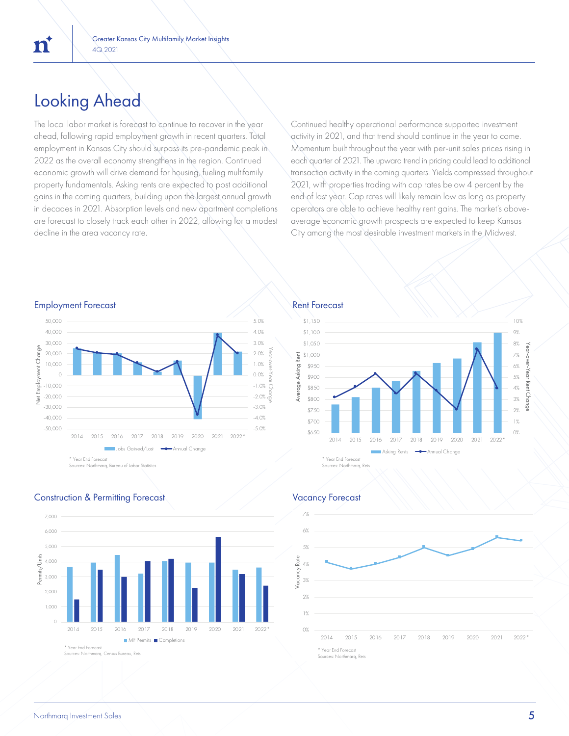### Looking Ahead

'n

The local labor market is forecast to continue to recover in the year ahead, following rapid employment growth in recent quarters. Total employment in Kansas City should surpass its pre-pandemic peak in 2022 as the overall economy strengthens in the region. Continued economic growth will drive demand for housing, fueling multifamily property fundamentals. Asking rents are expected to post additional gains in the coming quarters, building upon the largest annual growth in decades in 2021. Absorption levels and new apartment completions are forecast to closely track each other in 2022, allowing for a modest decline in the area vacancy rate.

Continued healthy operational performance supported investment activity in 2021, and that trend should continue in the year to come. Momentum built throughout the year with per-unit sales prices rising in each quarter of 2021. The upward trend in pricing could lead to additional transaction activity in the coming quarters. Yields compressed throughout 2021, with properties trading with cap rates below 4 percent by the end of last year. Cap rates will likely remain low as long as property operators are able to achieve healthy rent gains. The market's aboveaverage economic growth prospects are expected to keep Kansas City among the most desirable investment markets in the Midwest.









#### Construction & Permitting Forecast Vacancy Forecast